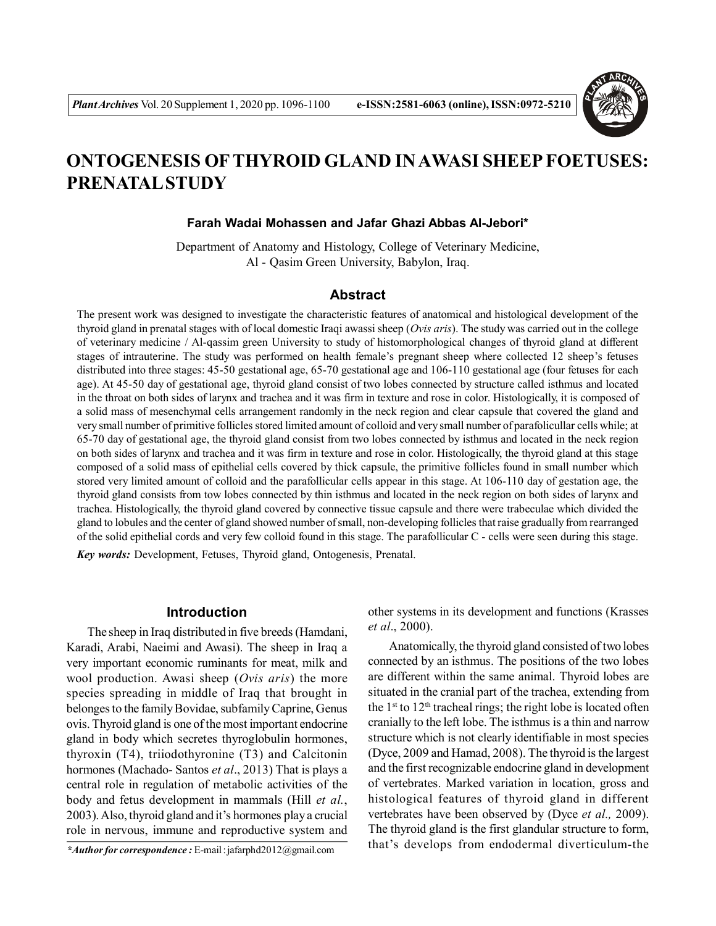

# **ONTOGENESIS OFTHYROID GLAND IN AWASI SHEEP FOETUSES: PRENATAL STUDY**

#### **Farah Wadai Mohassen and Jafar Ghazi Abbas Al-Jebori\***

Department of Anatomy and Histology, College of Veterinary Medicine, Al - Qasim Green University, Babylon, Iraq.

### **Abstract**

The present work was designed to investigate the characteristic features of anatomical and histological development of the thyroid gland in prenatal stages with of local domestic Iraqi awassi sheep (*Ovis aris*). The study was carried out in the college of veterinary medicine / Al-qassim green University to study of histomorphological changes of thyroid gland at different stages of intrauterine. The study was performed on health female's pregnant sheep where collected 12 sheep's fetuses distributed into three stages: 45-50 gestational age, 65-70 gestational age and 106-110 gestational age (four fetuses for each age). At 45-50 day of gestational age, thyroid gland consist of two lobes connected by structure called isthmus and located in the throat on both sides of larynx and trachea and it was firm in texture and rose in color. Histologically, it is composed of a solid mass of mesenchymal cells arrangement randomly in the neck region and clear capsule that covered the gland and very small number of primitive follicles stored limited amount of colloid and very small number of parafolicullar cells while; at 65-70 day of gestational age, the thyroid gland consist from two lobes connected by isthmus and located in the neck region on both sides of larynx and trachea and it was firm in texture and rose in color. Histologically, the thyroid gland at this stage composed of a solid mass of epithelial cells covered by thick capsule, the primitive follicles found in small number which stored very limited amount of colloid and the parafollicular cells appear in this stage. At 106-110 day of gestation age, the thyroid gland consists from tow lobes connected by thin isthmus and located in the neck region on both sides of larynx and trachea. Histologically, the thyroid gland covered by connective tissue capsule and there were trabeculae which divided the gland to lobules and the center of gland showed number ofsmall, non-developing follicles that raise gradually from rearranged of the solid epithelial cords and very few colloid found in this stage. The parafollicular C - cells were seen during this stage. *Key words:* Development, Fetuses, Thyroid gland, Ontogenesis, Prenatal.

## **Introduction**

The sheep in Iraq distributed in five breeds (Hamdani, Karadi, Arabi, Naeimi and Awasi). The sheep in Iraq a very important economic ruminants for meat, milk and wool production. Awasi sheep (*Ovis aris*) the more species spreading in middle of Iraq that brought in belonges to the family Bovidae, subfamily Caprine, Genus ovis. Thyroid gland is one of the most important endocrine gland in body which secretes thyroglobulin hormones, thyroxin (T4), triiodothyronine (T3) and Calcitonin hormones (Machado- Santos *et al*., 2013) That is plays a central role in regulation of metabolic activities of the body and fetus development in mammals (Hill *et al.*, 2003). Also, thyroid gland and it's hormones play a crucial role in nervous, immune and reproductive system and

other systems in its development and functions (Krasses *et al*., 2000).

Anatomically, the thyroid gland consisted of two lobes connected by an isthmus. The positions of the two lobes are different within the same animal. Thyroid lobes are situated in the cranial part of the trachea, extending from the  $1<sup>st</sup>$  to  $12<sup>th</sup>$  tracheal rings; the right lobe is located often cranially to the left lobe. The isthmus is a thin and narrow structure which is not clearly identifiable in most species (Dyce, 2009 and Hamad, 2008). The thyroid is the largest and the first recognizable endocrine gland in development of vertebrates. Marked variation in location, gross and histological features of thyroid gland in different vertebrates have been observed by (Dyce *et al.,* 2009). The thyroid gland is the first glandular structure to form, that's develops from endodermal diverticulum-the *\*Author for correspondence :* E-mail : jafarphd2012@gmail.com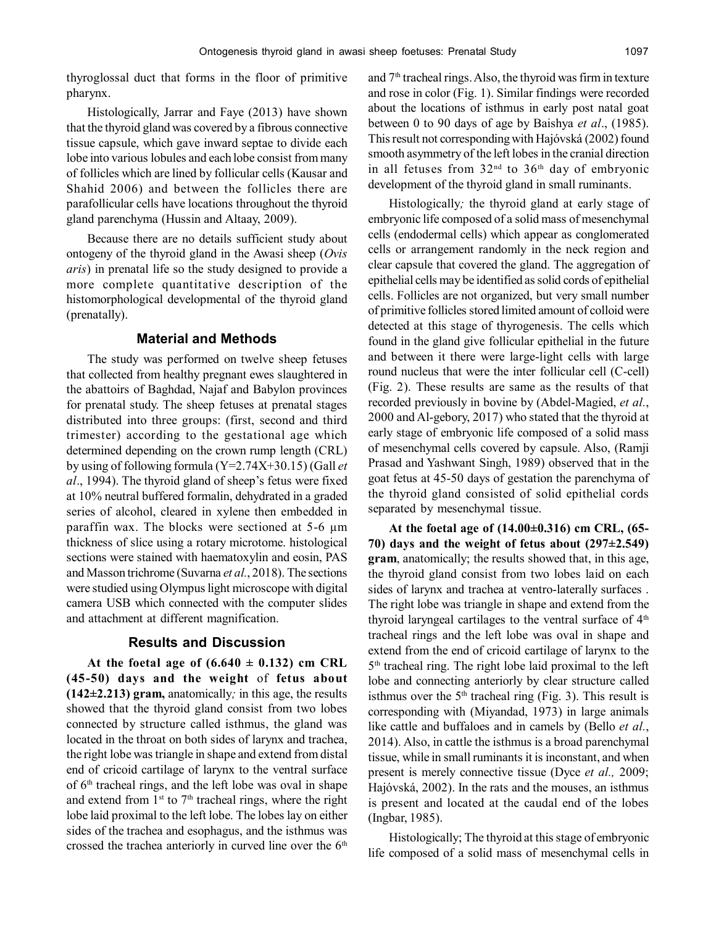thyroglossal duct that forms in the floor of primitive pharynx.

Histologically, Jarrar and Faye (2013) have shown that the thyroid gland was covered by a fibrous connective tissue capsule, which gave inward septae to divide each lobe into various lobules and each lobe consist from many of follicles which are lined by follicular cells (Kausar and Shahid 2006) and between the follicles there are parafollicular cells have locations throughout the thyroid gland parenchyma (Hussin and Altaay, 2009).

Because there are no details sufficient study about ontogeny of the thyroid gland in the Awasi sheep (*Ovis aris*) in prenatal life so the study designed to provide a more complete quantitative description of the histomorphological developmental of the thyroid gland (prenatally).

#### **Material and Methods**

The study was performed on twelve sheep fetuses that collected from healthy pregnant ewes slaughtered in the abattoirs of Baghdad, Najaf and Babylon provinces for prenatal study. The sheep fetuses at prenatal stages distributed into three groups: (first, second and third trimester) according to the gestational age which determined depending on the crown rump length (CRL) by using of following formula (Y=2.74X+30.15) (Gall *et al*., 1994). The thyroid gland of sheep's fetus were fixed at 10% neutral buffered formalin, dehydrated in a graded series of alcohol, cleared in xylene then embedded in paraffin wax. The blocks were sectioned at 5-6 µm thickness of slice using a rotary microtome. histological sections were stained with haematoxylin and eosin, PAS and Masson trichrome (Suvarna *et al.*, 2018). The sections were studied using Olympus light microscope with digital camera USB which connected with the computer slides and attachment at different magnification.

## **Results and Discussion**

At the foetal age of  $(6.640 \pm 0.132)$  cm CRL **(45-50) days and the weight** of **fetus about (142±2.213) gram,** anatomically*;* in this age, the results showed that the thyroid gland consist from two lobes connected by structure called isthmus, the gland was located in the throat on both sides of larynx and trachea, the right lobe was triangle in shape and extend from distal end of cricoid cartilage of larynx to the ventral surface of 6th tracheal rings, and the left lobe was oval in shape and extend from  $1<sup>st</sup>$  to  $7<sup>th</sup>$  tracheal rings, where the right lobe laid proximal to the left lobe. The lobes lay on either sides of the trachea and esophagus, and the isthmus was crossed the trachea anteriorly in curved line over the  $6<sup>th</sup>$  and 7<sup>th</sup> tracheal rings. Also, the thyroid was firm in texture and rose in color (Fig. 1). Similar findings were recorded about the locations of isthmus in early post natal goat between 0 to 90 days of age by Baishya *et al*., (1985). This result not corresponding with Hajóvská (2002) found smooth asymmetry of the left lobes in the cranial direction in all fetuses from  $32<sup>nd</sup>$  to  $36<sup>th</sup>$  day of embryonic development of the thyroid gland in small ruminants.

Histologically*;* the thyroid gland at early stage of embryonic life composed of a solid mass of mesenchymal cells (endodermal cells) which appear as conglomerated cells or arrangement randomly in the neck region and clear capsule that covered the gland. The aggregation of epithelial cells may be identified as solid cords of epithelial cells. Follicles are not organized, but very small number of primitive follicles stored limited amount of colloid were detected at this stage of thyrogenesis. The cells which found in the gland give follicular epithelial in the future and between it there were large-light cells with large round nucleus that were the inter follicular cell (C-cell) (Fig. 2). These results are same as the results of that recorded previously in bovine by (Abdel-Magied, *et al.*, 2000 and Al-gebory, 2017) who stated that the thyroid at early stage of embryonic life composed of a solid mass of mesenchymal cells covered by capsule. Also, (Ramji Prasad and Yashwant Singh, 1989) observed that in the goat fetus at 45-50 days of gestation the parenchyma of the thyroid gland consisted of solid epithelial cords separated by mesenchymal tissue.

**At the foetal age of (14.00±0.316) cm CRL, (65- 70) days and the weight of fetus about (297±2.549) gram**, anatomically; the results showed that, in this age, the thyroid gland consist from two lobes laid on each sides of larynx and trachea at ventro-laterally surfaces . The right lobe was triangle in shape and extend from the thyroid laryngeal cartilages to the ventral surface of  $4<sup>th</sup>$ tracheal rings and the left lobe was oval in shape and extend from the end of cricoid cartilage of larynx to the 5 th tracheal ring. The right lobe laid proximal to the left lobe and connecting anteriorly by clear structure called isthmus over the  $5<sup>th</sup>$  tracheal ring (Fig. 3). This result is corresponding with (Miyandad, 1973) in large animals like cattle and buffaloes and in camels by (Bello *et al.*, 2014). Also, in cattle the isthmus is a broad parenchymal tissue, while in small ruminants it is inconstant, and when present is merely connective tissue (Dyce *et al.,* 2009; Hajóvská, 2002). In the rats and the mouses, an isthmus is present and located at the caudal end of the lobes (Ingbar, 1985).

Histologically; The thyroid at this stage of embryonic life composed of a solid mass of mesenchymal cells in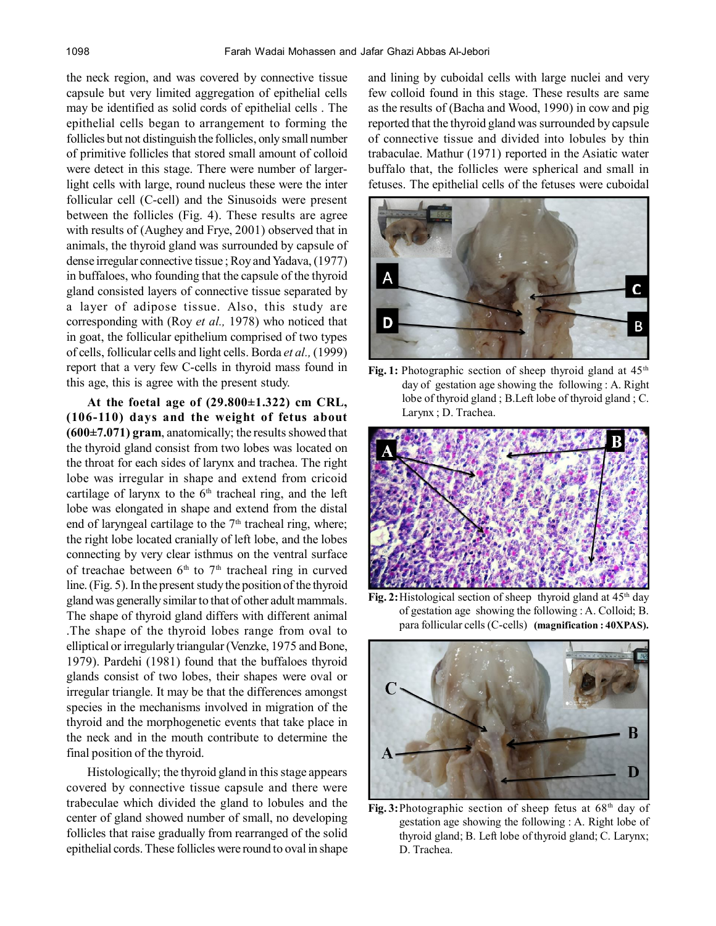the neck region, and was covered by connective tissue capsule but very limited aggregation of epithelial cells may be identified as solid cords of epithelial cells . The epithelial cells began to arrangement to forming the follicles but not distinguish the follicles, only small number of primitive follicles that stored small amount of colloid were detect in this stage. There were number of largerlight cells with large, round nucleus these were the inter follicular cell (C-cell) and the Sinusoids were present between the follicles (Fig. 4). These results are agree with results of (Aughey and Frye, 2001) observed that in animals, the thyroid gland was surrounded by capsule of dense irregular connective tissue ; Roy and Yadava, (1977) in buffaloes, who founding that the capsule of the thyroid gland consisted layers of connective tissue separated by a layer of adipose tissue. Also, this study are corresponding with (Roy *et al.,* 1978) who noticed that in goat, the follicular epithelium comprised of two types of cells, follicular cells and light cells. Borda *et al.,* (1999) report that a very few C-cells in thyroid mass found in this age, this is agree with the present study.

**At the foetal age of (29.800±1.322) cm CRL, (106-110) days and the weight of fetus about (600±7.071) gram**, anatomically; the results showed that the thyroid gland consist from two lobes was located on the throat for each sides of larynx and trachea. The right lobe was irregular in shape and extend from cricoid cartilage of larynx to the  $6<sup>th</sup>$  tracheal ring, and the left lobe was elongated in shape and extend from the distal end of laryngeal cartilage to the  $7<sup>th</sup>$  tracheal ring, where; the right lobe located cranially of left lobe, and the lobes connecting by very clear isthmus on the ventral surface of treachae between  $6<sup>th</sup>$  to  $7<sup>th</sup>$  tracheal ring in curved line. (Fig. 5). In the present study the position of the thyroid gland was generally similar to that of other adult mammals. The shape of thyroid gland differs with different animal .The shape of the thyroid lobes range from oval to elliptical or irregularly triangular (Venzke, 1975 and Bone, 1979). Pardehi (1981) found that the buffaloes thyroid glands consist of two lobes, their shapes were oval or irregular triangle. It may be that the differences amongst species in the mechanisms involved in migration of the thyroid and the morphogenetic events that take place in the neck and in the mouth contribute to determine the final position of the thyroid.

Histologically; the thyroid gland in this stage appears covered by connective tissue capsule and there were trabeculae which divided the gland to lobules and the center of gland showed number of small, no developing follicles that raise gradually from rearranged of the solid epithelial cords. These follicles were round to oval in shape and lining by cuboidal cells with large nuclei and very few colloid found in this stage. These results are same as the results of (Bacha and Wood, 1990) in cow and pig reported that the thyroid gland was surrounded by capsule of connective tissue and divided into lobules by thin trabaculae. Mathur (1971) reported in the Asiatic water buffalo that, the follicles were spherical and small in fetuses. The epithelial cells of the fetuses were cuboidal



Fig. 1: Photographic section of sheep thyroid gland at  $45<sup>th</sup>$ day of gestation age showing the following : A. Right lobe of thyroid gland ; B.Left lobe of thyroid gland ; C. Larynx ; D. Trachea.



**Fig. 2:** Histological section of sheep thyroid gland at 45<sup>th</sup> day of gestation age showing the following : A. Colloid; B. para follicular cells (C-cells) **(magnification : 40XPAS).**



Fig. 3: Photographic section of sheep fetus at 68<sup>th</sup> day of gestation age showing the following : A. Right lobe of thyroid gland; B. Left lobe of thyroid gland; C. Larynx; D. Trachea.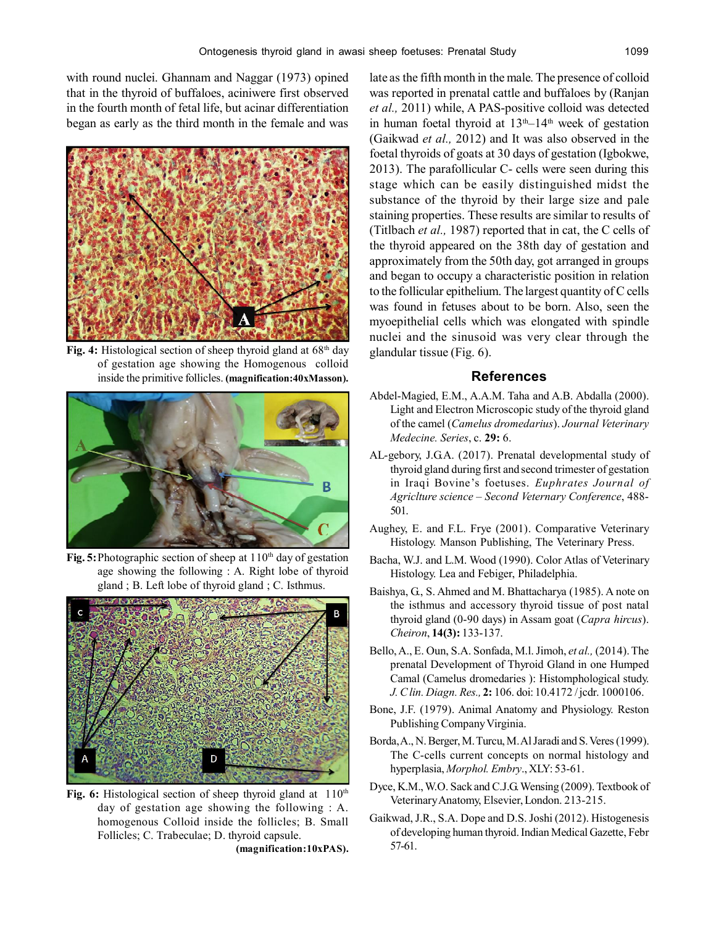with round nuclei. Ghannam and Naggar (1973) opined that in the thyroid of buffaloes, aciniwere first observed in the fourth month of fetal life, but acinar differentiation began as early as the third month in the female and was



Fig. 4: Histological section of sheep thyroid gland at 68<sup>th</sup> day of gestation age showing the Homogenous colloid inside the primitive follicles. **(magnification:40xMasson).**



**Fig. 5:** Photographic section of sheep at 110<sup>th</sup> day of gestation age showing the following : A. Right lobe of thyroid gland ; B. Left lobe of thyroid gland ; C. Isthmus.



Fig. 6: Histological section of sheep thyroid gland at 110<sup>th</sup> day of gestation age showing the following : A. homogenous Colloid inside the follicles; B. Small Follicles; C. Trabeculae; D. thyroid capsule.

**(magnification:10xPAS).**

late as the fifth month in the male. The presence of colloid was reported in prenatal cattle and buffaloes by (Ranjan *et al.,* 2011) while, A PAS-positive colloid was detected in human foetal thyroid at  $13<sup>th</sup>-14<sup>th</sup>$  week of gestation (Gaikwad *et al.,* 2012) and It was also observed in the foetal thyroids of goats at 30 days of gestation (Igbokwe, 2013). The parafollicular C- cells were seen during this stage which can be easily distinguished midst the substance of the thyroid by their large size and pale staining properties. These results are similar to results of (Titlbach *et al.,* 1987) reported that in cat, the C cells of the thyroid appeared on the 38th day of gestation and approximately from the 50th day, got arranged in groups and began to occupy a characteristic position in relation to the follicular epithelium. The largest quantity of C cells was found in fetuses about to be born. Also, seen the myoepithelial cells which was elongated with spindle nuclei and the sinusoid was very clear through the glandular tissue (Fig. 6).

## **References**

- Abdel-Magied, E.M., A.A.M. Taha and A.B. Abdalla (2000). Light and Electron Microscopic study of the thyroid gland of the camel (*Camelus dromedarius*). *Journal Veterinary Medecine. Series*, c. **29:** 6.
- AL-gebory, J.G.A. (2017). Prenatal developmental study of thyroid gland during first and second trimester of gestation in Iraqi Bovine's foetuses. *Euphrates Journal of Agriclture science – Second Veternary Conference*, 488- 501.
- Aughey, E. and F.L. Frye (2001). Comparative Veterinary Histology. Manson Publishing, The Veterinary Press.
- Bacha, W.J. and L.M. Wood (1990). Color Atlas of Veterinary Histology. Lea and Febiger, Philadelphia.
- Baishya, G., S. Ahmed and M. Bhattacharya (1985). A note on the isthmus and accessory thyroid tissue of post natal thyroid gland (0-90 days) in Assam goat (*Capra hircus*). *Cheiron*, **14(3):** 133-137.
- Bello, A., E. Oun, S.A. Sonfada, M.l. Jimoh, *et al.,* (2014). The prenatal Development of Thyroid Gland in one Humped Camal (Camelus dromedaries ): Histomphological study. *J. C lin. Diagn. Res.,* **2:** 106. doi: 10.4172 / jcdr. 1000106.
- Bone, J.F. (1979). Animal Anatomy and Physiology. Reston Publishing Company Virginia.
- Borda, A., N. Berger, M. Turcu, M. Al Jaradi and S. Veres (1999). The C-cells current concepts on normal histology and hyperplasia, *Morphol. Embry*., XLY: 53-61.
- Dyce, K.M., W.O. Sack and C.J.G. Wensing (2009). Textbook of Veterinary Anatomy, Elsevier, London. 213-215.
- Gaikwad, J.R., S.A. Dope and D.S. Joshi (2012). Histogenesis of developing human thyroid. Indian Medical Gazette, Febr 57-61.